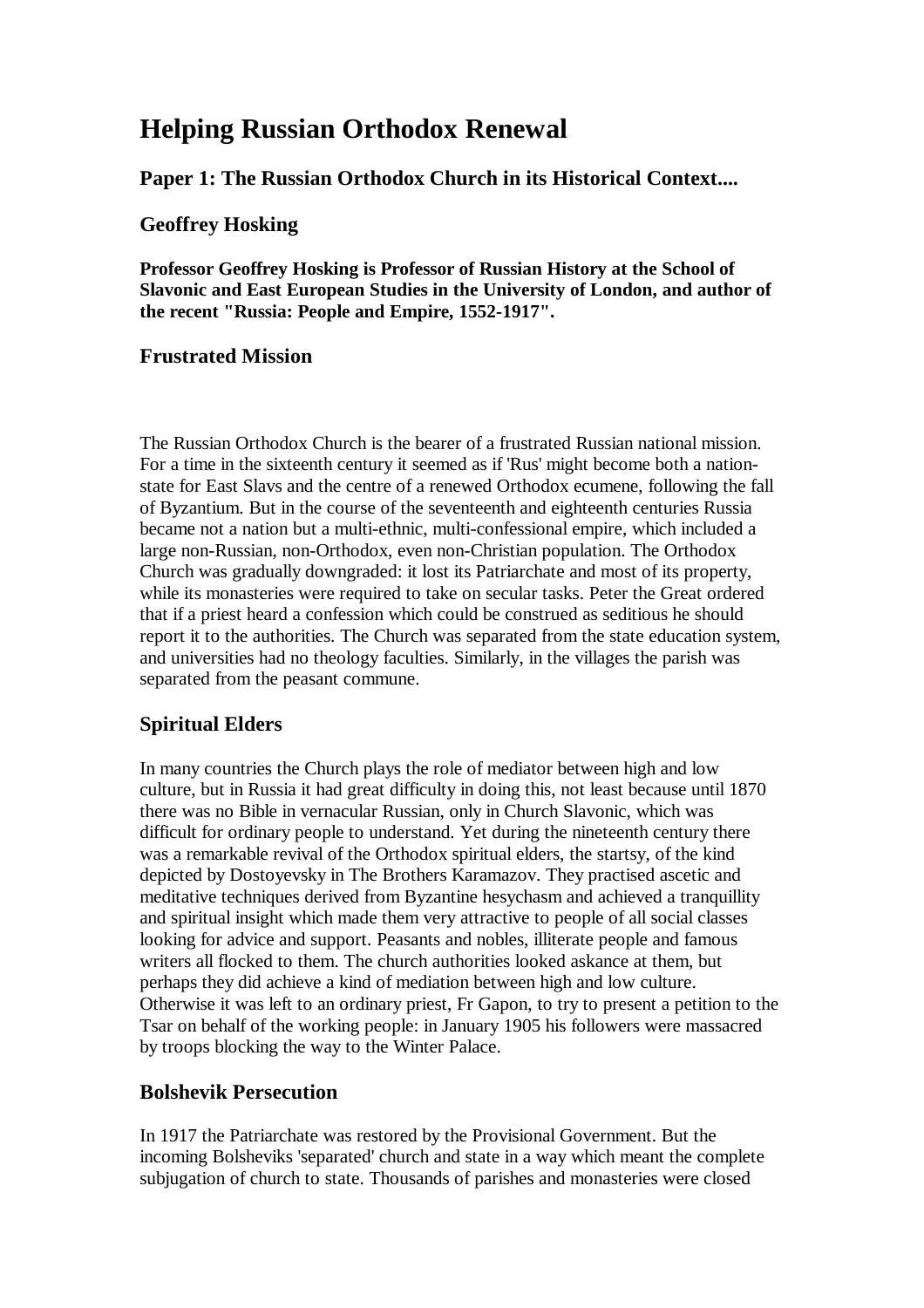# **Helping Russian Orthodox Renewal**

**Paper 1: The Russian Orthodox Church in its Historical Context....** 

### **Geoffrey Hosking**

**Professor Geoffrey Hosking is Professor of Russian History at the School of Slavonic and East European Studies in the University of London, and author of the recent "Russia: People and Empire, 1552-1917".** 

### **Frustrated Mission**

The Russian Orthodox Church is the bearer of a frustrated Russian national mission. For a time in the sixteenth century it seemed as if 'Rus' might become both a nationstate for East Slavs and the centre of a renewed Orthodox ecumene, following the fall of Byzantium. But in the course of the seventeenth and eighteenth centuries Russia became not a nation but a multi-ethnic, multi-confessional empire, which included a large non-Russian, non-Orthodox, even non-Christian population. The Orthodox Church was gradually downgraded: it lost its Patriarchate and most of its property, while its monasteries were required to take on secular tasks. Peter the Great ordered that if a priest heard a confession which could be construed as seditious he should report it to the authorities. The Church was separated from the state education system, and universities had no theology faculties. Similarly, in the villages the parish was separated from the peasant commune.

## **Spiritual Elders**

In many countries the Church plays the role of mediator between high and low culture, but in Russia it had great difficulty in doing this, not least because until 1870 there was no Bible in vernacular Russian, only in Church Slavonic, which was difficult for ordinary people to understand. Yet during the nineteenth century there was a remarkable revival of the Orthodox spiritual elders, the startsy, of the kind depicted by Dostoyevsky in The Brothers Karamazov. They practised ascetic and meditative techniques derived from Byzantine hesychasm and achieved a tranquillity and spiritual insight which made them very attractive to people of all social classes looking for advice and support. Peasants and nobles, illiterate people and famous writers all flocked to them. The church authorities looked askance at them, but perhaps they did achieve a kind of mediation between high and low culture. Otherwise it was left to an ordinary priest, Fr Gapon, to try to present a petition to the Tsar on behalf of the working people: in January 1905 his followers were massacred by troops blocking the way to the Winter Palace.

### **Bolshevik Persecution**

In 1917 the Patriarchate was restored by the Provisional Government. But the incoming Bolsheviks 'separated' church and state in a way which meant the complete subjugation of church to state. Thousands of parishes and monasteries were closed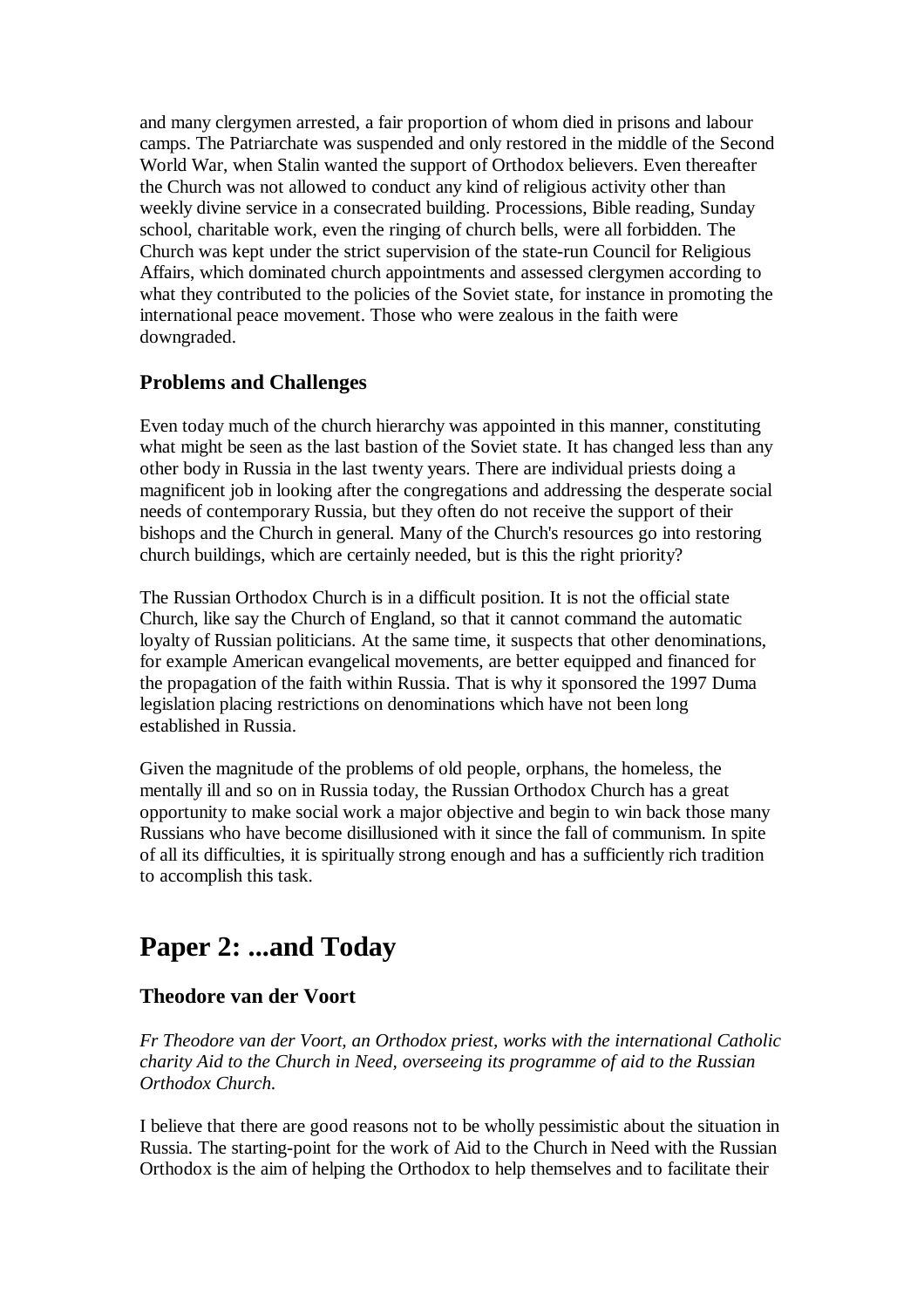and many clergymen arrested, a fair proportion of whom died in prisons and labour camps. The Patriarchate was suspended and only restored in the middle of the Second World War, when Stalin wanted the support of Orthodox believers. Even thereafter the Church was not allowed to conduct any kind of religious activity other than weekly divine service in a consecrated building. Processions, Bible reading, Sunday school, charitable work, even the ringing of church bells, were all forbidden. The Church was kept under the strict supervision of the state-run Council for Religious Affairs, which dominated church appointments and assessed clergymen according to what they contributed to the policies of the Soviet state, for instance in promoting the international peace movement. Those who were zealous in the faith were downgraded.

### **Problems and Challenges**

Even today much of the church hierarchy was appointed in this manner, constituting what might be seen as the last bastion of the Soviet state. It has changed less than any other body in Russia in the last twenty years. There are individual priests doing a magnificent job in looking after the congregations and addressing the desperate social needs of contemporary Russia, but they often do not receive the support of their bishops and the Church in general. Many of the Church's resources go into restoring church buildings, which are certainly needed, but is this the right priority?

The Russian Orthodox Church is in a difficult position. It is not the official state Church, like say the Church of England, so that it cannot command the automatic loyalty of Russian politicians. At the same time, it suspects that other denominations, for example American evangelical movements, are better equipped and financed for the propagation of the faith within Russia. That is why it sponsored the 1997 Duma legislation placing restrictions on denominations which have not been long established in Russia.

Given the magnitude of the problems of old people, orphans, the homeless, the mentally ill and so on in Russia today, the Russian Orthodox Church has a great opportunity to make social work a major objective and begin to win back those many Russians who have become disillusioned with it since the fall of communism. In spite of all its difficulties, it is spiritually strong enough and has a sufficiently rich tradition to accomplish this task.

## **Paper 2: ...and Today**

### **Theodore van der Voort**

*Fr Theodore van der Voort, an Orthodox priest, works with the international Catholic charity Aid to the Church in Need, overseeing its programme of aid to the Russian Orthodox Church.*

I believe that there are good reasons not to be wholly pessimistic about the situation in Russia. The starting-point for the work of Aid to the Church in Need with the Russian Orthodox is the aim of helping the Orthodox to help themselves and to facilitate their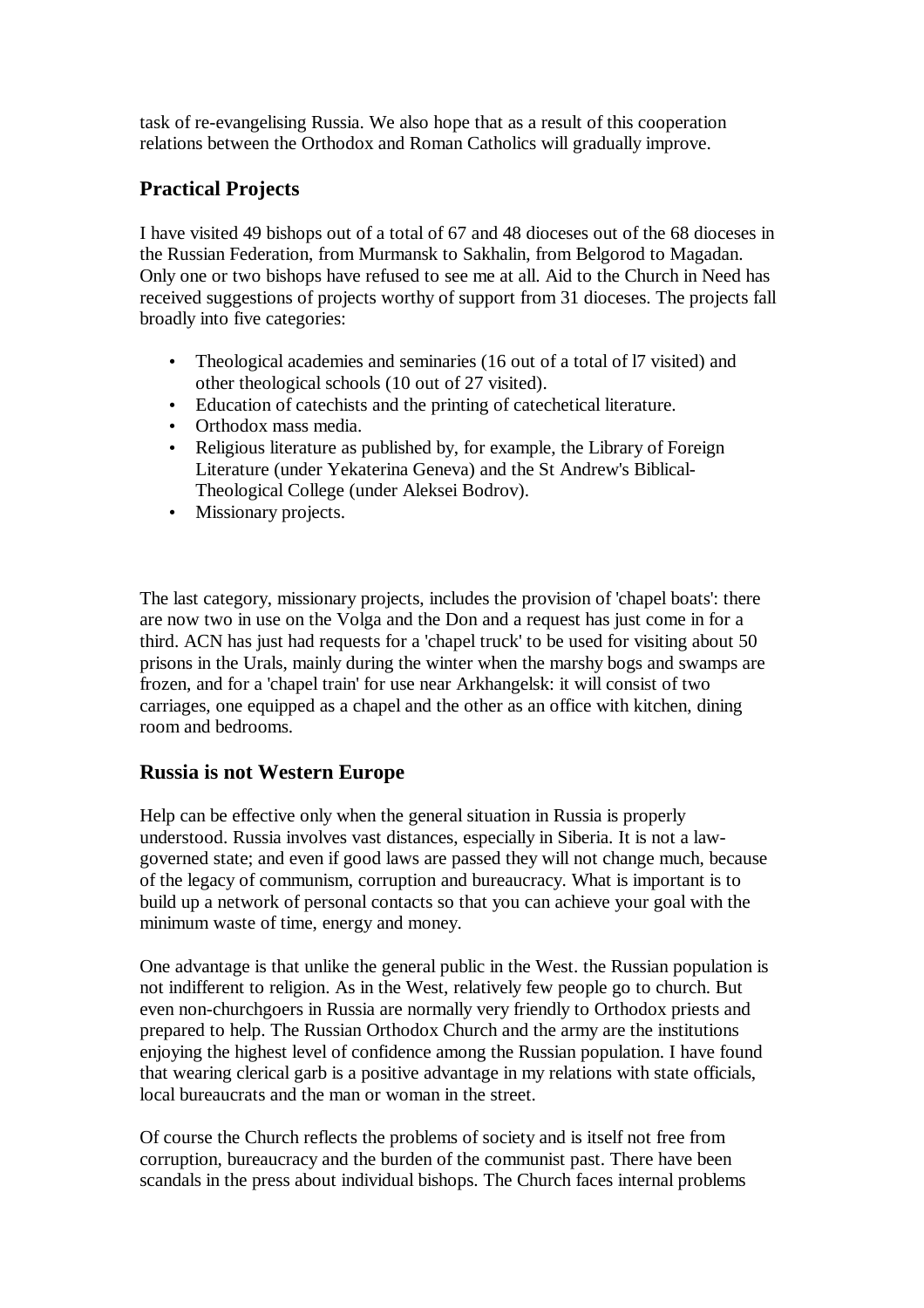task of re-evangelising Russia. We also hope that as a result of this cooperation relations between the Orthodox and Roman Catholics will gradually improve.

## **Practical Projects**

I have visited 49 bishops out of a total of 67 and 48 dioceses out of the 68 dioceses in the Russian Federation, from Murmansk to Sakhalin, from Belgorod to Magadan. Only one or two bishops have refused to see me at all. Aid to the Church in Need has received suggestions of projects worthy of support from 31 dioceses. The projects fall broadly into five categories:

- Theological academies and seminaries (16 out of a total of 17 visited) and other theological schools (10 out of 27 visited).
- Education of catechists and the printing of catechetical literature.
- Orthodox mass media.
- Religious literature as published by, for example, the Library of Foreign Literature (under Yekaterina Geneva) and the St Andrew's Biblical-Theological College (under Aleksei Bodrov).
- Missionary projects.

The last category, missionary projects, includes the provision of 'chapel boats': there are now two in use on the Volga and the Don and a request has just come in for a third. ACN has just had requests for a 'chapel truck' to be used for visiting about 50 prisons in the Urals, mainly during the winter when the marshy bogs and swamps are frozen, and for a 'chapel train' for use near Arkhangelsk: it will consist of two carriages, one equipped as a chapel and the other as an office with kitchen, dining room and bedrooms.

### **Russia is not Western Europe**

Help can be effective only when the general situation in Russia is properly understood. Russia involves vast distances, especially in Siberia. It is not a lawgoverned state; and even if good laws are passed they will not change much, because of the legacy of communism, corruption and bureaucracy. What is important is to build up a network of personal contacts so that you can achieve your goal with the minimum waste of time, energy and money.

One advantage is that unlike the general public in the West. the Russian population is not indifferent to religion. As in the West, relatively few people go to church. But even non-churchgoers in Russia are normally very friendly to Orthodox priests and prepared to help. The Russian Orthodox Church and the army are the institutions enjoying the highest level of confidence among the Russian population. I have found that wearing clerical garb is a positive advantage in my relations with state officials, local bureaucrats and the man or woman in the street.

Of course the Church reflects the problems of society and is itself not free from corruption, bureaucracy and the burden of the communist past. There have been scandals in the press about individual bishops. The Church faces internal problems